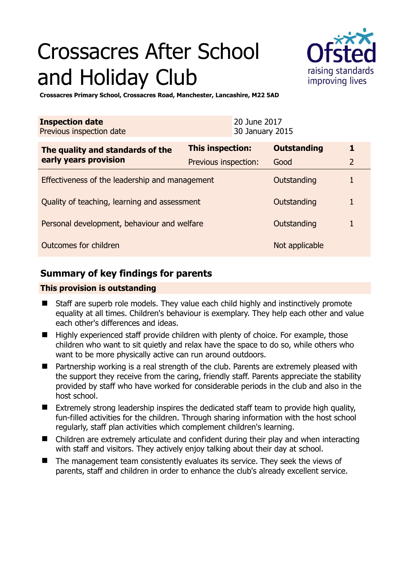# Crossacres After School and Holiday Club



**Crossacres Primary School, Crossacres Road, Manchester, Lancashire, M22 5AD** 

| <b>Inspection date</b><br>Previous inspection date        | 20 June 2017<br>30 January 2015 |                    |                |
|-----------------------------------------------------------|---------------------------------|--------------------|----------------|
| The quality and standards of the<br>early years provision | <b>This inspection:</b>         | <b>Outstanding</b> | 1              |
|                                                           | Previous inspection:            | Good               | $\overline{2}$ |
| Effectiveness of the leadership and management            |                                 | Outstanding        | 1              |
| Quality of teaching, learning and assessment              |                                 | Outstanding        | 1              |
| Personal development, behaviour and welfare               |                                 | Outstanding        | 1              |
| Outcomes for children                                     |                                 | Not applicable     |                |

# **Summary of key findings for parents**

## **This provision is outstanding**

- Staff are superb role models. They value each child highly and instinctively promote equality at all times. Children's behaviour is exemplary. They help each other and value each other's differences and ideas.
- $\blacksquare$  Highly experienced staff provide children with plenty of choice. For example, those children who want to sit quietly and relax have the space to do so, while others who want to be more physically active can run around outdoors.
- Partnership working is a real strength of the club. Parents are extremely pleased with the support they receive from the caring, friendly staff. Parents appreciate the stability provided by staff who have worked for considerable periods in the club and also in the host school.
- Extremely strong leadership inspires the dedicated staff team to provide high quality, fun-filled activities for the children. Through sharing information with the host school regularly, staff plan activities which complement children's learning.
- Children are extremely articulate and confident during their play and when interacting with staff and visitors. They actively enjoy talking about their day at school.
- The management team consistently evaluates its service. They seek the views of parents, staff and children in order to enhance the club's already excellent service.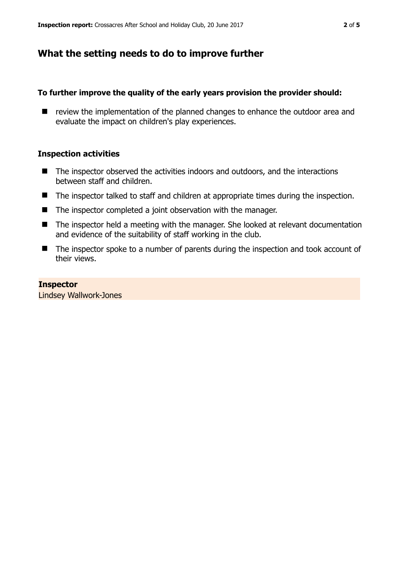## **What the setting needs to do to improve further**

#### **To further improve the quality of the early years provision the provider should:**

■ review the implementation of the planned changes to enhance the outdoor area and evaluate the impact on children's play experiences.

#### **Inspection activities**

- The inspector observed the activities indoors and outdoors, and the interactions between staff and children.
- The inspector talked to staff and children at appropriate times during the inspection.
- The inspector completed a joint observation with the manager.
- The inspector held a meeting with the manager. She looked at relevant documentation and evidence of the suitability of staff working in the club.
- The inspector spoke to a number of parents during the inspection and took account of their views.

#### **Inspector**

Lindsey Wallwork-Jones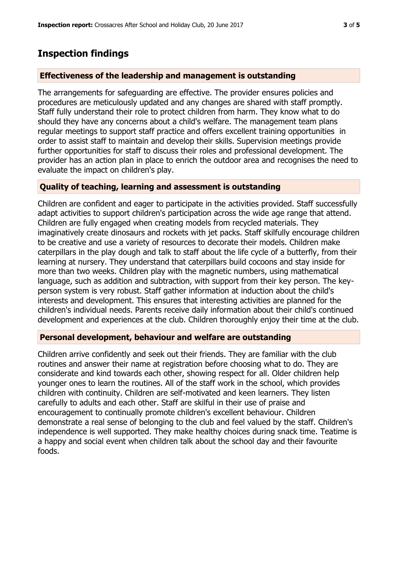## **Inspection findings**

#### **Effectiveness of the leadership and management is outstanding**

The arrangements for safeguarding are effective. The provider ensures policies and procedures are meticulously updated and any changes are shared with staff promptly. Staff fully understand their role to protect children from harm. They know what to do should they have any concerns about a child's welfare. The management team plans regular meetings to support staff practice and offers excellent training opportunities in order to assist staff to maintain and develop their skills. Supervision meetings provide further opportunities for staff to discuss their roles and professional development. The provider has an action plan in place to enrich the outdoor area and recognises the need to evaluate the impact on children's play.

#### **Quality of teaching, learning and assessment is outstanding**

Children are confident and eager to participate in the activities provided. Staff successfully adapt activities to support children's participation across the wide age range that attend. Children are fully engaged when creating models from recycled materials. They imaginatively create dinosaurs and rockets with jet packs. Staff skilfully encourage children to be creative and use a variety of resources to decorate their models. Children make caterpillars in the play dough and talk to staff about the life cycle of a butterfly, from their learning at nursery. They understand that caterpillars build cocoons and stay inside for more than two weeks. Children play with the magnetic numbers, using mathematical language, such as addition and subtraction, with support from their key person. The keyperson system is very robust. Staff gather information at induction about the child's interests and development. This ensures that interesting activities are planned for the children's individual needs. Parents receive daily information about their child's continued development and experiences at the club. Children thoroughly enjoy their time at the club.

### **Personal development, behaviour and welfare are outstanding**

Children arrive confidently and seek out their friends. They are familiar with the club routines and answer their name at registration before choosing what to do. They are considerate and kind towards each other, showing respect for all. Older children help younger ones to learn the routines. All of the staff work in the school, which provides children with continuity. Children are self-motivated and keen learners. They listen carefully to adults and each other. Staff are skilful in their use of praise and encouragement to continually promote children's excellent behaviour. Children demonstrate a real sense of belonging to the club and feel valued by the staff. Children's independence is well supported. They make healthy choices during snack time. Teatime is a happy and social event when children talk about the school day and their favourite foods.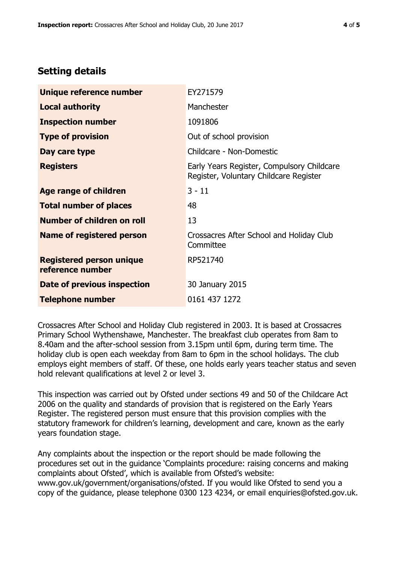# **Setting details**

| Unique reference number                             | EY271579                                                                             |  |
|-----------------------------------------------------|--------------------------------------------------------------------------------------|--|
| <b>Local authority</b>                              | Manchester                                                                           |  |
| <b>Inspection number</b>                            | 1091806                                                                              |  |
| <b>Type of provision</b>                            | Out of school provision                                                              |  |
| Day care type                                       | Childcare - Non-Domestic                                                             |  |
| <b>Registers</b>                                    | Early Years Register, Compulsory Childcare<br>Register, Voluntary Childcare Register |  |
| <b>Age range of children</b>                        | $3 - 11$                                                                             |  |
| <b>Total number of places</b>                       | 48                                                                                   |  |
| Number of children on roll                          | 13                                                                                   |  |
| Name of registered person                           | Crossacres After School and Holiday Club<br>Committee                                |  |
| <b>Registered person unique</b><br>reference number | RP521740                                                                             |  |
| Date of previous inspection                         | 30 January 2015                                                                      |  |
| <b>Telephone number</b>                             | 0161 437 1272                                                                        |  |

Crossacres After School and Holiday Club registered in 2003. It is based at Crossacres Primary School Wythenshawe, Manchester. The breakfast club operates from 8am to 8.40am and the after-school session from 3.15pm until 6pm, during term time. The holiday club is open each weekday from 8am to 6pm in the school holidays. The club employs eight members of staff. Of these, one holds early years teacher status and seven hold relevant qualifications at level 2 or level 3.

This inspection was carried out by Ofsted under sections 49 and 50 of the Childcare Act 2006 on the quality and standards of provision that is registered on the Early Years Register. The registered person must ensure that this provision complies with the statutory framework for children's learning, development and care, known as the early years foundation stage.

Any complaints about the inspection or the report should be made following the procedures set out in the guidance 'Complaints procedure: raising concerns and making complaints about Ofsted', which is available from Ofsted's website: www.gov.uk/government/organisations/ofsted. If you would like Ofsted to send you a copy of the guidance, please telephone 0300 123 4234, or email enquiries@ofsted.gov.uk.